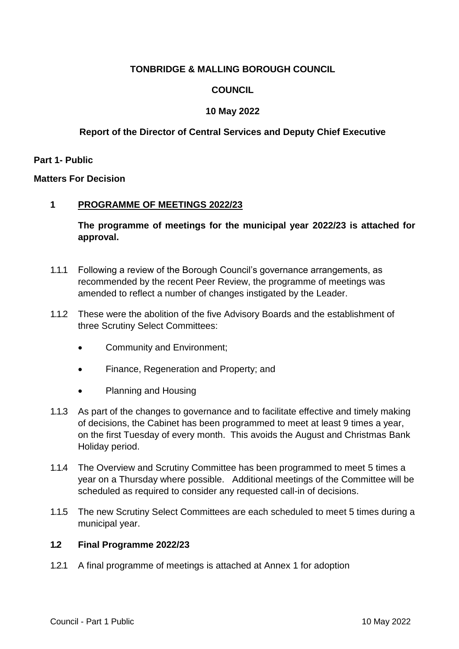# **TONBRIDGE & MALLING BOROUGH COUNCIL**

# **COUNCIL**

# **10 May 2022**

# **Report of the Director of Central Services and Deputy Chief Executive**

**Part 1- Public**

**Matters For Decision**

## **1 PROGRAMME OF MEETINGS 2022/23**

**The programme of meetings for the municipal year 2022/23 is attached for approval.** 

- 1.1.1 Following a review of the Borough Council's governance arrangements, as recommended by the recent Peer Review, the programme of meetings was amended to reflect a number of changes instigated by the Leader.
- 1.1.2 These were the abolition of the five Advisory Boards and the establishment of three Scrutiny Select Committees:
	- Community and Environment;
	- Finance, Regeneration and Property; and
	- Planning and Housing
- 1.1.3 As part of the changes to governance and to facilitate effective and timely making of decisions, the Cabinet has been programmed to meet at least 9 times a year, on the first Tuesday of every month. This avoids the August and Christmas Bank Holiday period.
- 1.1.4 The Overview and Scrutiny Committee has been programmed to meet 5 times a year on a Thursday where possible. Additional meetings of the Committee will be scheduled as required to consider any requested call-in of decisions.
- 1.1.5 The new Scrutiny Select Committees are each scheduled to meet 5 times during a municipal year.

## **1.2 Final Programme 2022/23**

1.2.1 A final programme of meetings is attached at Annex 1 for adoption